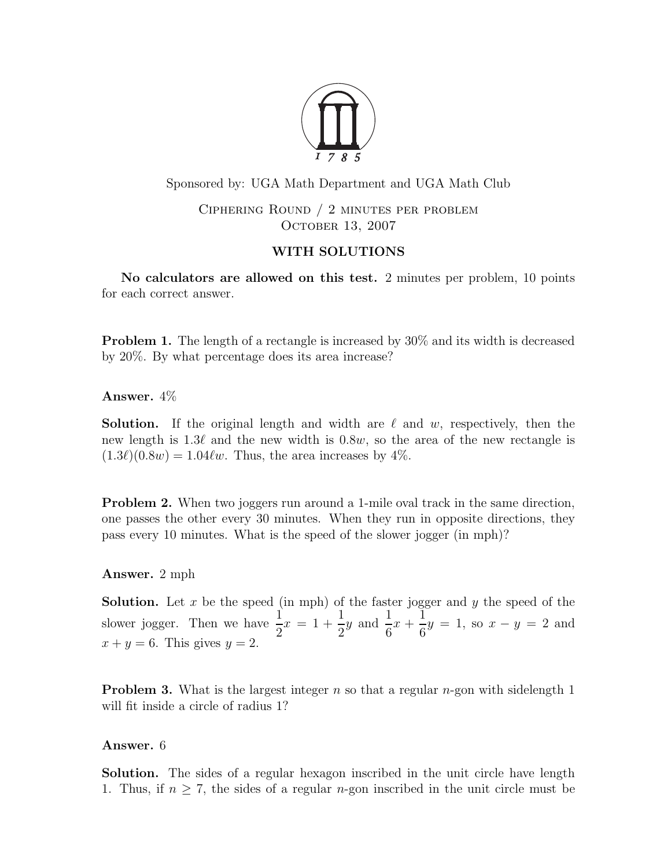

Sponsored by: UGA Math Department and UGA Math Club

Ciphering Round / 2 minutes per problem OCTOBER 13, 2007

# WITH SOLUTIONS

No calculators are allowed on this test. 2 minutes per problem, 10 points for each correct answer.

Problem 1. The length of a rectangle is increased by 30% and its width is decreased by 20%. By what percentage does its area increase?

Answer. 4%

**Solution.** If the original length and width are  $\ell$  and w, respectively, then the new length is 1.3 $\ell$  and the new width is 0.8w, so the area of the new rectangle is  $(1.3\ell)(0.8w) = 1.04\ell w$ . Thus, the area increases by 4%.

Problem 2. When two joggers run around a 1-mile oval track in the same direction, one passes the other every 30 minutes. When they run in opposite directions, they pass every 10 minutes. What is the speed of the slower jogger (in mph)?

## Answer. 2 mph

**Solution.** Let  $x$  be the speed (in mph) of the faster jogger and  $y$  the speed of the slower jogger. Then we have  $\frac{1}{2}$ 2  $x = 1 +$ 1 2 y and  $\frac{1}{c}$ 6  $x +$ 1  $\frac{1}{6}y = 1$ , so  $x - y = 2$  and  $x + y = 6$ . This gives  $y = 2$ .

**Problem 3.** What is the largest integer n so that a regular n-gon with sidelength 1 will fit inside a circle of radius 1?

## Answer. 6

Solution. The sides of a regular hexagon inscribed in the unit circle have length 1. Thus, if  $n \geq 7$ , the sides of a regular *n*-gon inscribed in the unit circle must be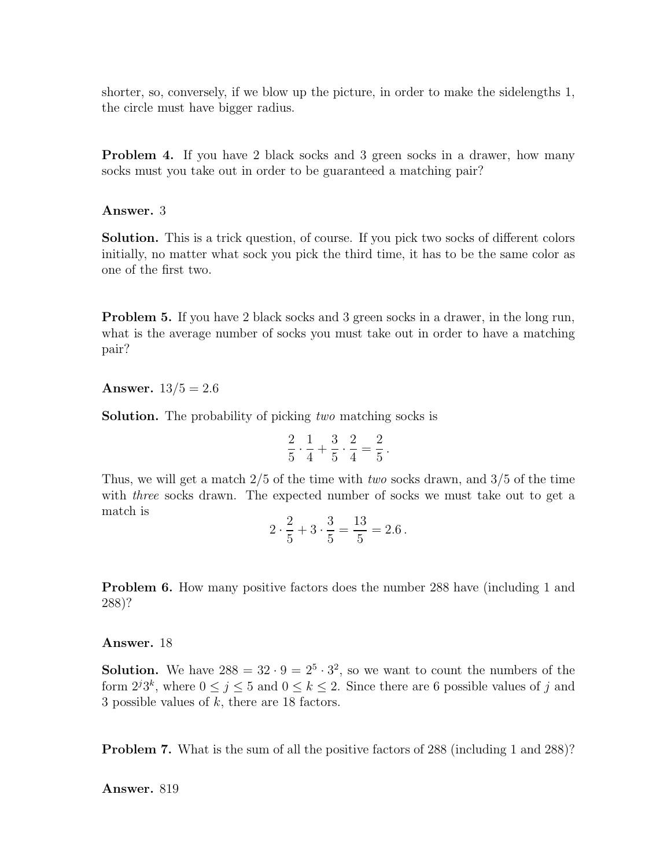shorter, so, conversely, if we blow up the picture, in order to make the sidelengths 1, the circle must have bigger radius.

Problem 4. If you have 2 black socks and 3 green socks in a drawer, how many socks must you take out in order to be guaranteed a matching pair?

#### Answer. 3

Solution. This is a trick question, of course. If you pick two socks of different colors initially, no matter what sock you pick the third time, it has to be the same color as one of the first two.

Problem 5. If you have 2 black socks and 3 green socks in a drawer, in the long run, what is the average number of socks you must take out in order to have a matching pair?

**Answer.**  $13/5 = 2.6$ 

Solution. The probability of picking two matching socks is

$$
\frac{2}{5} \cdot \frac{1}{4} + \frac{3}{5} \cdot \frac{2}{4} = \frac{2}{5} \, .
$$

Thus, we will get a match 2/5 of the time with two socks drawn, and 3/5 of the time with *three* socks drawn. The expected number of socks we must take out to get a match is

$$
2 \cdot \frac{2}{5} + 3 \cdot \frac{3}{5} = \frac{13}{5} = 2.6
$$

Problem 6. How many positive factors does the number 288 have (including 1 and 288)?

#### Answer. 18

**Solution.** We have  $288 = 32 \cdot 9 = 2^5 \cdot 3^2$ , so we want to count the numbers of the form  $2^{j}3^{k}$ , where  $0 \leq j \leq 5$  and  $0 \leq k \leq 2$ . Since there are 6 possible values of j and 3 possible values of k, there are 18 factors.

Problem 7. What is the sum of all the positive factors of 288 (including 1 and 288)?

Answer. 819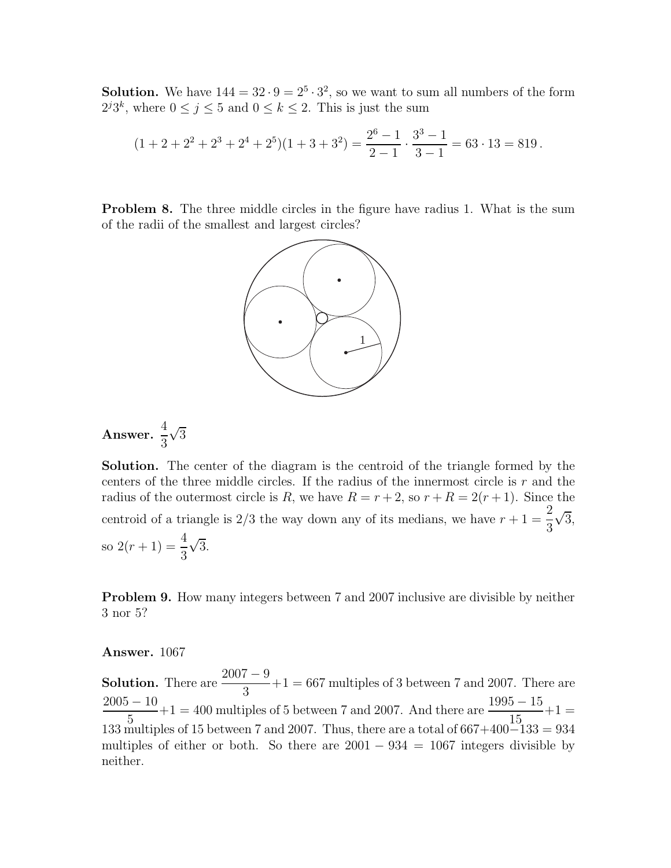**Solution.** We have  $144 = 32 \cdot 9 = 2^5 \cdot 3^2$ , so we want to sum all numbers of the form  $2^{j}3^{k}$ , where  $0 \leq j \leq 5$  and  $0 \leq k \leq 2$ . This is just the sum

$$
(1+2+2^2+2^3+2^4+2^5)(1+3+3^2) = \frac{2^6-1}{2-1} \cdot \frac{3^3-1}{3-1} = 63 \cdot 13 = 819.
$$

Problem 8. The three middle circles in the figure have radius 1. What is the sum of the radii of the smallest and largest circles?



Answer. 
$$
\frac{4}{3}\sqrt{3}
$$

Solution. The center of the diagram is the centroid of the triangle formed by the centers of the three middle circles. If the radius of the innermost circle is  $r$  and the radius of the outermost circle is R, we have  $R = r + 2$ , so  $r + R = 2(r + 1)$ . Since the centroid of a triangle is  $2/3$  the way down any of its medians, we have  $r + 1 =$ 2 3  $\sqrt{3}$ , so  $2(r+1) = \frac{4}{3}$ 3  $\sqrt{3}$ .

Problem 9. How many integers between 7 and 2007 inclusive are divisible by neither 3 nor 5?

### Answer. 1067

**Solution.** There are  $\frac{2007-9}{2}$ 3  $+1 = 667$  multiples of 3 between 7 and 2007. There are  $2005 - 10$ 5  $+1 = 400$  multiples of 5 between 7 and 2007. And there are  $\frac{1995 - 15}{15}$ 15  $+1 =$ 133 multiples of 15 between 7 and 2007. Thus, there are a total of 667+400−133 = 934 multiples of either or both. So there are  $2001 - 934 = 1067$  integers divisible by neither.